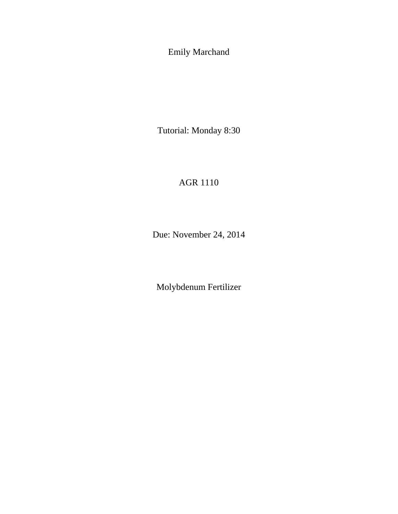Emily Marchand

Tutorial: Monday 8:30

## AGR 1110

Due: November 24, 2014

Molybdenum Fertilizer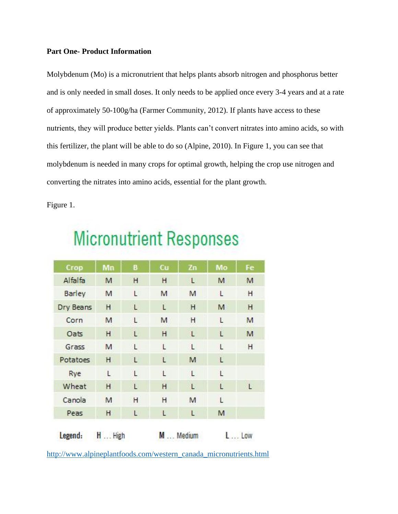## **Part One- Product Information**

Molybdenum (Mo) is a micronutrient that helps plants absorb nitrogen and phosphorus better and is only needed in small doses. It only needs to be applied once every 3-4 years and at a rate of approximately 50-100g/ha (Farmer Community, 2012). If plants have access to these nutrients, they will produce better yields. Plants can't convert nitrates into amino acids, so with this fertilizer, the plant will be able to do so (Alpine, 2010). In Figure 1, you can see that molybdenum is needed in many crops for optimal growth, helping the crop use nitrogen and converting the nitrates into amino acids, essential for the plant growth.

Figure 1.

| Crop      | Mn | B | Cu | Zn | Mo | Fe |
|-----------|----|---|----|----|----|----|
| Alfalfa   | M  | H | H  | L  | M  | M  |
| Barley    | M  | L | M  | M  | L  | Η  |
| Dry Beans | H  | L | L  | H  | M  | H  |
| Corn      | M  | L | M  | H  | L  | M  |
| Oats      | H  | L | H  | L  | L  | M  |
| Grass     | M  | L | L  | L  | L  | н  |
| Potatoes  | Η  | L | L  | M  | L  |    |
| Rye       | L  | L | Ĺ  | L  | Ľ  |    |
| Wheat     | H  | L | H  | L  | L  | L  |
| Canola    | M  | н | H  | M  | L  |    |
| Peas      | н  | L | L  | L  | M  |    |

## **Micronutrient Responses**

[http://www.alpineplantfoods.com/western\\_canada\\_micronutrients.html](http://www.alpineplantfoods.com/western_canada_micronutrients.html)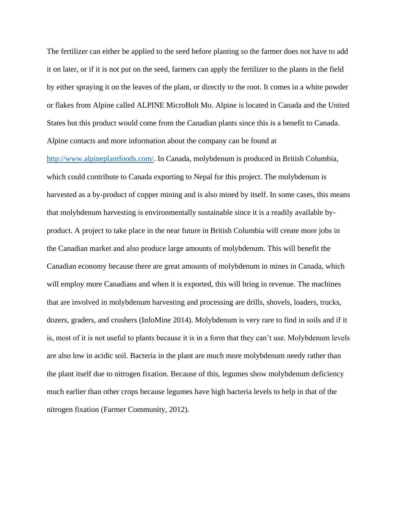The fertilizer can either be applied to the seed before planting so the farmer does not have to add it on later, or if it is not put on the seed, farmers can apply the fertilizer to the plants in the field by either spraying it on the leaves of the plant, or directly to the root. It comes in a white powder or flakes from Alpine called ALPINE MicroBolt Mo. Alpine is located in Canada and the United States but this product would come from the Canadian plants since this is a benefit to Canada. Alpine contacts and more information about the company can be found at

[http://www.alpineplantfoods.com/.](http://www.alpineplantfoods.com/) In Canada, molybdenum is produced in British Columbia, which could contribute to Canada exporting to Nepal for this project. The molybdenum is harvested as a by-product of copper mining and is also mined by itself. In some cases, this means that molybdenum harvesting is environmentally sustainable since it is a readily available byproduct. A project to take place in the near future in British Columbia will create more jobs in the Canadian market and also produce large amounts of molybdenum. This will benefit the Canadian economy because there are great amounts of molybdenum in mines in Canada, which will employ more Canadians and when it is exported, this will bring in revenue. The machines that are involved in molybdenum harvesting and processing are drills, shovels, loaders, trucks, dozers, graders, and crushers (InfoMine 2014). Molybdenum is very rare to find in soils and if it is, most of it is not useful to plants because it is in a form that they can't use. Molybdenum levels are also low in acidic soil. Bacteria in the plant are much more molybdenum needy rather than the plant itself due to nitrogen fixation. Because of this, legumes show molybdenum deficiency much earlier than other crops because legumes have high bacteria levels to help in that of the nitrogen fixation (Farmer Community, 2012).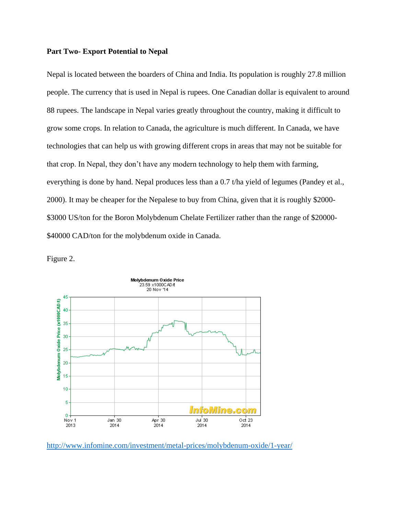## **Part Two- Export Potential to Nepal**

Nepal is located between the boarders of China and India. Its population is roughly 27.8 million people. The currency that is used in Nepal is rupees. One Canadian dollar is equivalent to around 88 rupees. The landscape in Nepal varies greatly throughout the country, making it difficult to grow some crops. In relation to Canada, the agriculture is much different. In Canada, we have technologies that can help us with growing different crops in areas that may not be suitable for that crop. In Nepal, they don't have any modern technology to help them with farming, everything is done by hand. Nepal produces less than a 0.7 t/ha yield of legumes (Pandey et al., 2000). It may be cheaper for the Nepalese to buy from China, given that it is roughly \$2000- \$3000 US/ton for the Boron Molybdenum Chelate Fertilizer rather than the range of \$20000- \$40000 CAD/ton for the molybdenum oxide in Canada.

Figure 2.



<http://www.infomine.com/investment/metal-prices/molybdenum-oxide/1-year/>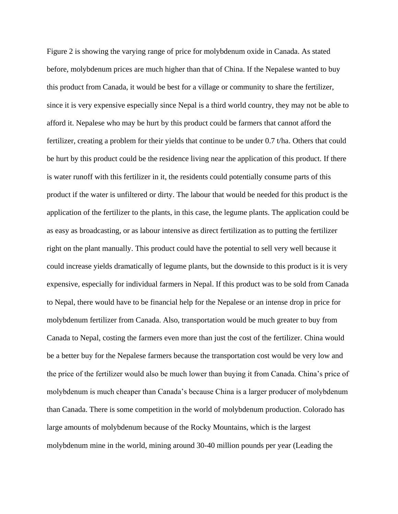Figure 2 is showing the varying range of price for molybdenum oxide in Canada. As stated before, molybdenum prices are much higher than that of China. If the Nepalese wanted to buy this product from Canada, it would be best for a village or community to share the fertilizer, since it is very expensive especially since Nepal is a third world country, they may not be able to afford it. Nepalese who may be hurt by this product could be farmers that cannot afford the fertilizer, creating a problem for their yields that continue to be under 0.7 t/ha. Others that could be hurt by this product could be the residence living near the application of this product. If there is water runoff with this fertilizer in it, the residents could potentially consume parts of this product if the water is unfiltered or dirty. The labour that would be needed for this product is the application of the fertilizer to the plants, in this case, the legume plants. The application could be as easy as broadcasting, or as labour intensive as direct fertilization as to putting the fertilizer right on the plant manually. This product could have the potential to sell very well because it could increase yields dramatically of legume plants, but the downside to this product is it is very expensive, especially for individual farmers in Nepal. If this product was to be sold from Canada to Nepal, there would have to be financial help for the Nepalese or an intense drop in price for molybdenum fertilizer from Canada. Also, transportation would be much greater to buy from Canada to Nepal, costing the farmers even more than just the cost of the fertilizer. China would be a better buy for the Nepalese farmers because the transportation cost would be very low and the price of the fertilizer would also be much lower than buying it from Canada. China's price of molybdenum is much cheaper than Canada's because China is a larger producer of molybdenum than Canada. There is some competition in the world of molybdenum production. Colorado has large amounts of molybdenum because of the Rocky Mountains, which is the largest molybdenum mine in the world, mining around 30-40 million pounds per year (Leading the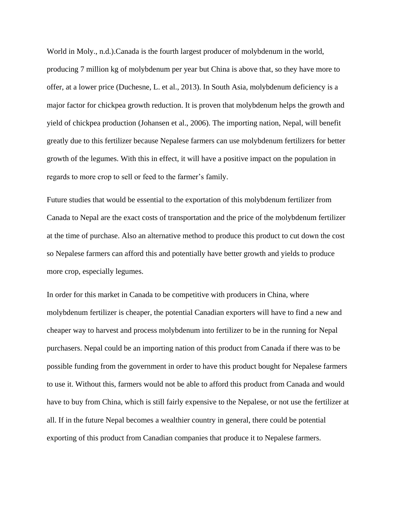World in Moly., n.d.).Canada is the fourth largest producer of molybdenum in the world, producing 7 million kg of molybdenum per year but China is above that, so they have more to offer, at a lower price (Duchesne, L. et al., 2013). In South Asia, molybdenum deficiency is a major factor for chickpea growth reduction. It is proven that molybdenum helps the growth and yield of chickpea production (Johansen et al., 2006). The importing nation, Nepal, will benefit greatly due to this fertilizer because Nepalese farmers can use molybdenum fertilizers for better growth of the legumes. With this in effect, it will have a positive impact on the population in regards to more crop to sell or feed to the farmer's family.

Future studies that would be essential to the exportation of this molybdenum fertilizer from Canada to Nepal are the exact costs of transportation and the price of the molybdenum fertilizer at the time of purchase. Also an alternative method to produce this product to cut down the cost so Nepalese farmers can afford this and potentially have better growth and yields to produce more crop, especially legumes.

In order for this market in Canada to be competitive with producers in China, where molybdenum fertilizer is cheaper, the potential Canadian exporters will have to find a new and cheaper way to harvest and process molybdenum into fertilizer to be in the running for Nepal purchasers. Nepal could be an importing nation of this product from Canada if there was to be possible funding from the government in order to have this product bought for Nepalese farmers to use it. Without this, farmers would not be able to afford this product from Canada and would have to buy from China, which is still fairly expensive to the Nepalese, or not use the fertilizer at all. If in the future Nepal becomes a wealthier country in general, there could be potential exporting of this product from Canadian companies that produce it to Nepalese farmers.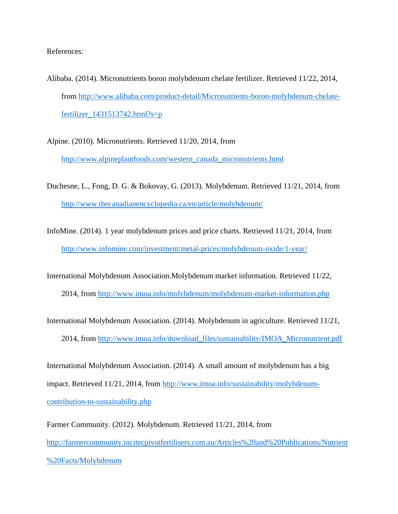References:

- Alibaba. (2014). Micronutrients boron molybdenum chelate fertilizer. Retrieved 11/22, 2014, from [http://www.alibaba.com/product-detail/Micronutrients-boron-molybdenum-chelate](http://www.alibaba.com/product-detail/Micronutrients-boron-molybdenum-chelate-fertilizer_1431513742.html?s=p)[fertilizer\\_1431513742.html?s=p](http://www.alibaba.com/product-detail/Micronutrients-boron-molybdenum-chelate-fertilizer_1431513742.html?s=p)
- Alpine. (2010). Micronutrients. Retrieved 11/20, 2014, from [http://www.alpineplantfoods.com/western\\_canada\\_micronutrients.html](http://www.alpineplantfoods.com/western_canada_micronutrients.html)
- Duchesne, L., Fong, D. G. & Bokovay, G. (2013). Molybdenum. Retrieved 11/21, 2014, from <http://www.thecanadianencyclopedia.ca/en/article/molybdenum/>
- InfoMine. (2014). 1 year molybdenum prices and price charts. Retrieved 11/21, 2014, from <http://www.infomine.com/investment/metal-prices/molybdenum-oxide/1-year/>
- International Molybdenum Association.Molybdenum market information. Retrieved 11/22,
	- 2014, from<http://www.imoa.info/molybdenum/molybdenum-market-information.php>
- International Molybdenum Association. (2014). Molybdenum in agriculture. Retrieved 11/21,
	- 2014, from [http://www.imoa.info/download\\_files/sustainability/IMOA\\_Micronutrient.pdf](http://www.imoa.info/download_files/sustainability/IMOA_Micronutrient.pdf)
- International Molybdenum Association. (2014). A small amount of molybdenum has a big impact. Retrieved 11/21, 2014, from [http://www.imoa.info/sustainability/molybdenum](http://www.imoa.info/sustainability/molybdenum-contribution-to-sustainability.php)[contribution-to-sustainability.php](http://www.imoa.info/sustainability/molybdenum-contribution-to-sustainability.php)
- Farmer Community. (2012). Molybdenum. Retrieved 11/21, 2014, from [http://farmercommunity.incitecpivotfertilisers.com.au/Articles%20and%20Publications/Nutrient](http://farmercommunity.incitecpivotfertilisers.com.au/Articles%20and%20Publications/Nutrient%20Facts/Molybdenum) [%20Facts/Molybdenum](http://farmercommunity.incitecpivotfertilisers.com.au/Articles%20and%20Publications/Nutrient%20Facts/Molybdenum)